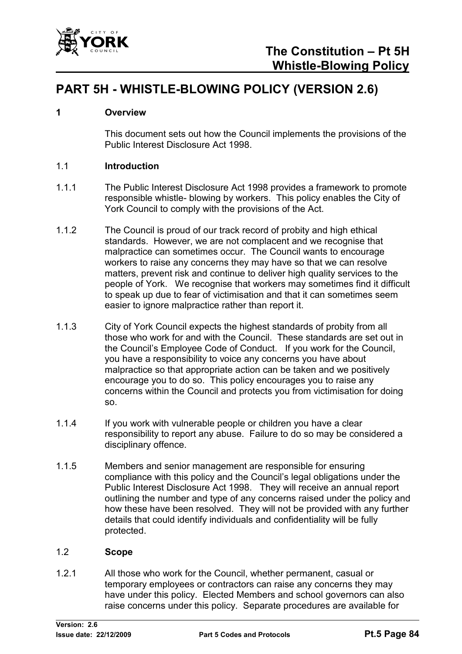

# **PART 5H - WHISTLE-BLOWING POLICY (VERSION 2.6)**

### **1 Overview**

This document sets out how the Council implements the provisions of the Public Interest Disclosure Act 1998.

### 1.1 **Introduction**

- 1.1.1 The Public Interest Disclosure Act 1998 provides a framework to promote responsible whistle- blowing by workers. This policy enables the City of York Council to comply with the provisions of the Act.
- 1.1.2 The Council is proud of our track record of probity and high ethical standards. However, we are not complacent and we recognise that malpractice can sometimes occur. The Council wants to encourage workers to raise any concerns they may have so that we can resolve matters, prevent risk and continue to deliver high quality services to the people of York. We recognise that workers may sometimes find it difficult to speak up due to fear of victimisation and that it can sometimes seem easier to ignore malpractice rather than report it.
- 1.1.3 City of York Council expects the highest standards of probity from all those who work for and with the Council. These standards are set out in the Council's Employee Code of Conduct. If you work for the Council, you have a responsibility to voice any concerns you have about malpractice so that appropriate action can be taken and we positively encourage you to do so. This policy encourages you to raise any concerns within the Council and protects you from victimisation for doing so.
- 1.1.4 If you work with vulnerable people or children you have a clear responsibility to report any abuse. Failure to do so may be considered a disciplinary offence.
- 1.1.5 Members and senior management are responsible for ensuring compliance with this policy and the Council's legal obligations under the Public Interest Disclosure Act 1998. They will receive an annual report outlining the number and type of any concerns raised under the policy and how these have been resolved. They will not be provided with any further details that could identify individuals and confidentiality will be fully protected.

### 1.2 **Scope**

1.2.1 All those who work for the Council, whether permanent, casual or temporary employees or contractors can raise any concerns they may have under this policy. Elected Members and school governors can also raise concerns under this policy. Separate procedures are available for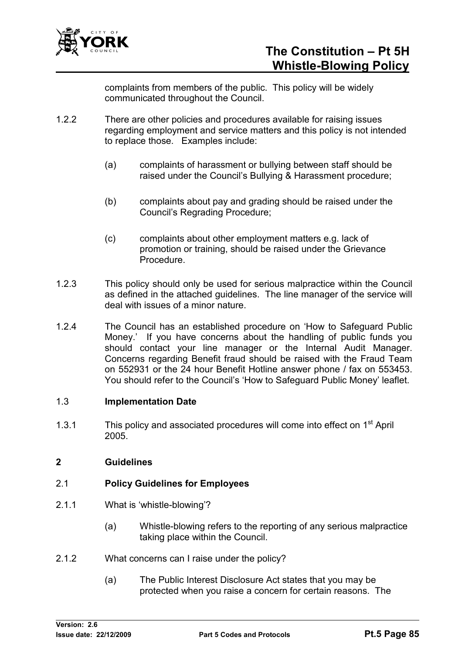

complaints from members of the public. This policy will be widely communicated throughout the Council.

- 1.2.2 There are other policies and procedures available for raising issues regarding employment and service matters and this policy is not intended to replace those. Examples include:
	- (a) complaints of harassment or bullying between staff should be raised under the Council's Bullying & Harassment procedure;
	- (b) complaints about pay and grading should be raised under the Council's Regrading Procedure;
	- (c) complaints about other employment matters e.g. lack of promotion or training, should be raised under the Grievance Procedure.
- 1.2.3 This policy should only be used for serious malpractice within the Council as defined in the attached guidelines. The line manager of the service will deal with issues of a minor nature.
- 1.2.4 The Council has an established procedure on 'How to Safeguard Public Money.' If you have concerns about the handling of public funds you should contact your line manager or the Internal Audit Manager. Concerns regarding Benefit fraud should be raised with the Fraud Team on 552931 or the 24 hour Benefit Hotline answer phone / fax on 553453. You should refer to the Council's 'How to Safeguard Public Money' leaflet.

### 1.3 **Implementation Date**

1.3.1 This policy and associated procedures will come into effect on 1<sup>st</sup> April 2005.

## **2 Guidelines**

## 2.1 **Policy Guidelines for Employees**

- 2.1.1 What is 'whistle-blowing'?
	- (a) Whistle-blowing refers to the reporting of any serious malpractice taking place within the Council.
- 2.1.2 What concerns can I raise under the policy?
	- (a) The Public Interest Disclosure Act states that you may be protected when you raise a concern for certain reasons. The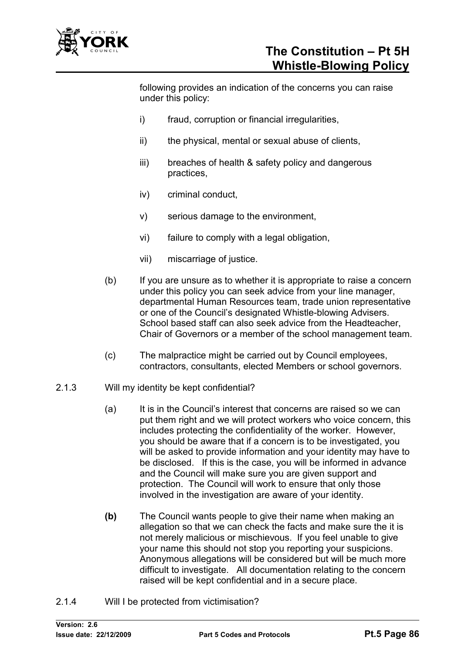

following provides an indication of the concerns you can raise under this policy:

- i) fraud, corruption or financial irregularities,
- ii) the physical, mental or sexual abuse of clients,
- iii) breaches of health & safety policy and dangerous practices,
- iv) criminal conduct,
- v) serious damage to the environment,
- vi) failure to comply with a legal obligation,
- vii) miscarriage of justice.
- (b) If you are unsure as to whether it is appropriate to raise a concern under this policy you can seek advice from your line manager, departmental Human Resources team, trade union representative or one of the Council's designated Whistle-blowing Advisers. School based staff can also seek advice from the Headteacher, Chair of Governors or a member of the school management team.
- (c) The malpractice might be carried out by Council employees, contractors, consultants, elected Members or school governors.
- 2.1.3 Will my identity be kept confidential?
	- (a) It is in the Council's interest that concerns are raised so we can put them right and we will protect workers who voice concern, this includes protecting the confidentiality of the worker. However, you should be aware that if a concern is to be investigated, you will be asked to provide information and your identity may have to be disclosed. If this is the case, you will be informed in advance and the Council will make sure you are given support and protection. The Council will work to ensure that only those involved in the investigation are aware of your identity.
	- **(b)** The Council wants people to give their name when making an allegation so that we can check the facts and make sure the it is not merely malicious or mischievous. If you feel unable to give your name this should not stop you reporting your suspicions. Anonymous allegations will be considered but will be much more difficult to investigate. All documentation relating to the concern raised will be kept confidential and in a secure place.
- 2.1.4 Will I be protected from victimisation?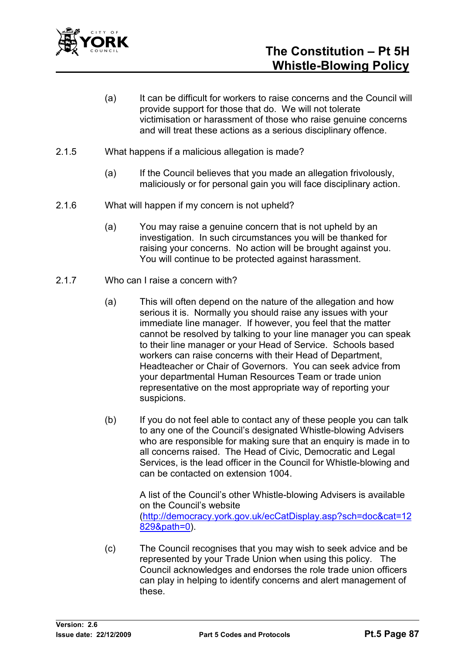

- (a) It can be difficult for workers to raise concerns and the Council will provide support for those that do. We will not tolerate victimisation or harassment of those who raise genuine concerns and will treat these actions as a serious disciplinary offence.
- 2.1.5 What happens if a malicious allegation is made?
	- (a) If the Council believes that you made an allegation frivolously, maliciously or for personal gain you will face disciplinary action.
- 2.1.6 What will happen if my concern is not upheld?
	- (a) You may raise a genuine concern that is not upheld by an investigation. In such circumstances you will be thanked for raising your concerns. No action will be brought against you. You will continue to be protected against harassment.
- 2.1.7 Who can I raise a concern with?
	- (a) This will often depend on the nature of the allegation and how serious it is. Normally you should raise any issues with your immediate line manager. If however, you feel that the matter cannot be resolved by talking to your line manager you can speak to their line manager or your Head of Service. Schools based workers can raise concerns with their Head of Department, Headteacher or Chair of Governors. You can seek advice from your departmental Human Resources Team or trade union representative on the most appropriate way of reporting your suspicions.
	- (b) If you do not feel able to contact any of these people you can talk to any one of the Council's designated Whistle-blowing Advisers who are responsible for making sure that an enquiry is made in to all concerns raised. The Head of Civic, Democratic and Legal Services, is the lead officer in the Council for Whistle-blowing and can be contacted on extension 1004.

A list of the Council's other Whistle-blowing Advisers is available on the Council's website (http://democracy.york.gov.uk/ecCatDisplay.asp?sch=doc&cat=12 829&path=0).

(c) The Council recognises that you may wish to seek advice and be represented by your Trade Union when using this policy. The Council acknowledges and endorses the role trade union officers can play in helping to identify concerns and alert management of these.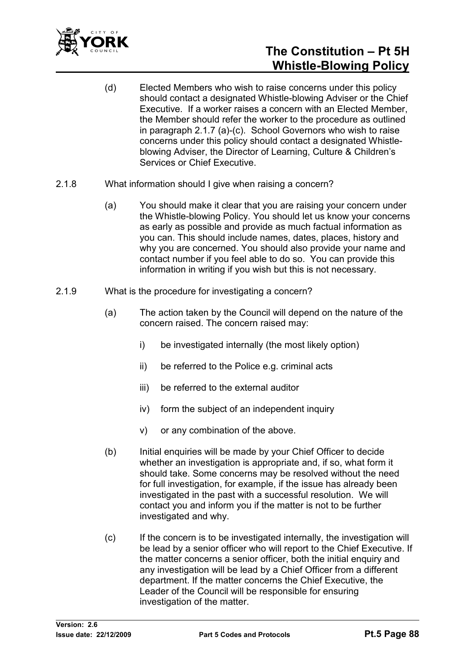

# **The Constitution – Pt 5H Whistle-Blowing Policy**

- (d) Elected Members who wish to raise concerns under this policy should contact a designated Whistle-blowing Adviser or the Chief Executive. If a worker raises a concern with an Elected Member, the Member should refer the worker to the procedure as outlined in paragraph 2.1.7 (a)-(c). School Governors who wish to raise concerns under this policy should contact a designated Whistleblowing Adviser, the Director of Learning, Culture & Children's Services or Chief Executive.
- 2.1.8 What information should I give when raising a concern?
	- (a) You should make it clear that you are raising your concern under the Whistle-blowing Policy. You should let us know your concerns as early as possible and provide as much factual information as you can. This should include names, dates, places, history and why you are concerned. You should also provide your name and contact number if you feel able to do so. You can provide this information in writing if you wish but this is not necessary.
- 2.1.9 What is the procedure for investigating a concern?
	- (a) The action taken by the Council will depend on the nature of the concern raised. The concern raised may:
		- i) be investigated internally (the most likely option)
		- ii) be referred to the Police e.g. criminal acts
		- iii) be referred to the external auditor
		- iv) form the subject of an independent inquiry
		- v) or any combination of the above.
	- (b) Initial enquiries will be made by your Chief Officer to decide whether an investigation is appropriate and, if so, what form it should take. Some concerns may be resolved without the need for full investigation, for example, if the issue has already been investigated in the past with a successful resolution. We will contact you and inform you if the matter is not to be further investigated and why.
	- (c) If the concern is to be investigated internally, the investigation will be lead by a senior officer who will report to the Chief Executive. If the matter concerns a senior officer, both the initial enquiry and any investigation will be lead by a Chief Officer from a different department. If the matter concerns the Chief Executive, the Leader of the Council will be responsible for ensuring investigation of the matter.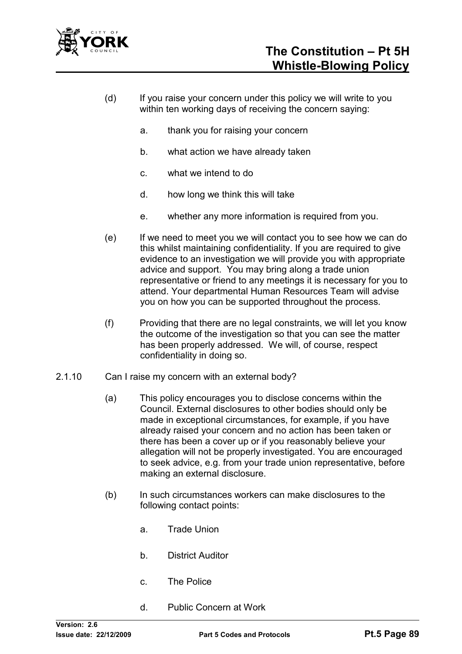

- (d) If you raise your concern under this policy we will write to you within ten working days of receiving the concern saying:
	- a. thank you for raising your concern
	- b. what action we have already taken
	- c. what we intend to do
	- d. how long we think this will take
	- e. whether any more information is required from you.
- (e) If we need to meet you we will contact you to see how we can do this whilst maintaining confidentiality. If you are required to give evidence to an investigation we will provide you with appropriate advice and support. You may bring along a trade union representative or friend to any meetings it is necessary for you to attend. Your departmental Human Resources Team will advise you on how you can be supported throughout the process.
- (f) Providing that there are no legal constraints, we will let you know the outcome of the investigation so that you can see the matter has been properly addressed. We will, of course, respect confidentiality in doing so.
- 2.1.10 Can I raise my concern with an external body?
	- (a) This policy encourages you to disclose concerns within the Council. External disclosures to other bodies should only be made in exceptional circumstances, for example, if you have already raised your concern and no action has been taken or there has been a cover up or if you reasonably believe your allegation will not be properly investigated. You are encouraged to seek advice, e.g. from your trade union representative, before making an external disclosure.
	- (b) In such circumstances workers can make disclosures to the following contact points:
		- a. Trade Union
		- b. District Auditor
		- c. The Police
		- d. Public Concern at Work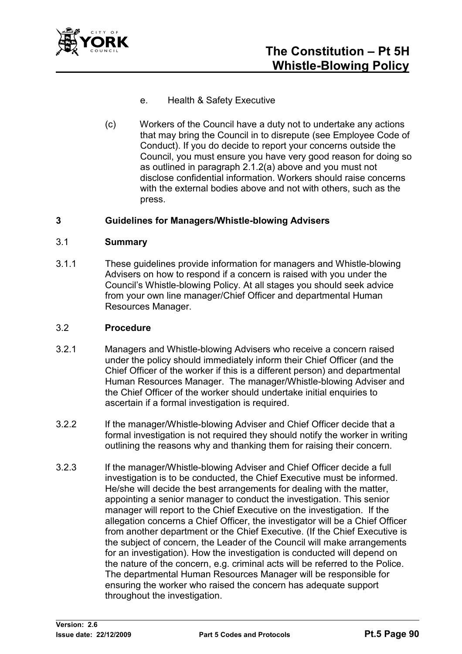

- e. Health & Safety Executive
- (c) Workers of the Council have a duty not to undertake any actions that may bring the Council in to disrepute (see Employee Code of Conduct). If you do decide to report your concerns outside the Council, you must ensure you have very good reason for doing so as outlined in paragraph 2.1.2(a) above and you must not disclose confidential information. Workers should raise concerns with the external bodies above and not with others, such as the press.

### **3 Guidelines for Managers/Whistle-blowing Advisers**

#### 3.1 **Summary**

3.1.1 These guidelines provide information for managers and Whistle-blowing Advisers on how to respond if a concern is raised with you under the Council's Whistle-blowing Policy. At all stages you should seek advice from your own line manager/Chief Officer and departmental Human Resources Manager.

#### 3.2 **Procedure**

- 3.2.1 Managers and Whistle-blowing Advisers who receive a concern raised under the policy should immediately inform their Chief Officer (and the Chief Officer of the worker if this is a different person) and departmental Human Resources Manager. The manager/Whistle-blowing Adviser and the Chief Officer of the worker should undertake initial enquiries to ascertain if a formal investigation is required.
- 3.2.2 If the manager/Whistle-blowing Adviser and Chief Officer decide that a formal investigation is not required they should notify the worker in writing outlining the reasons why and thanking them for raising their concern.
- 3.2.3 If the manager/Whistle-blowing Adviser and Chief Officer decide a full investigation is to be conducted, the Chief Executive must be informed. He/she will decide the best arrangements for dealing with the matter, appointing a senior manager to conduct the investigation. This senior manager will report to the Chief Executive on the investigation. If the allegation concerns a Chief Officer, the investigator will be a Chief Officer from another department or the Chief Executive. (If the Chief Executive is the subject of concern, the Leader of the Council will make arrangements for an investigation). How the investigation is conducted will depend on the nature of the concern, e.g. criminal acts will be referred to the Police. The departmental Human Resources Manager will be responsible for ensuring the worker who raised the concern has adequate support throughout the investigation.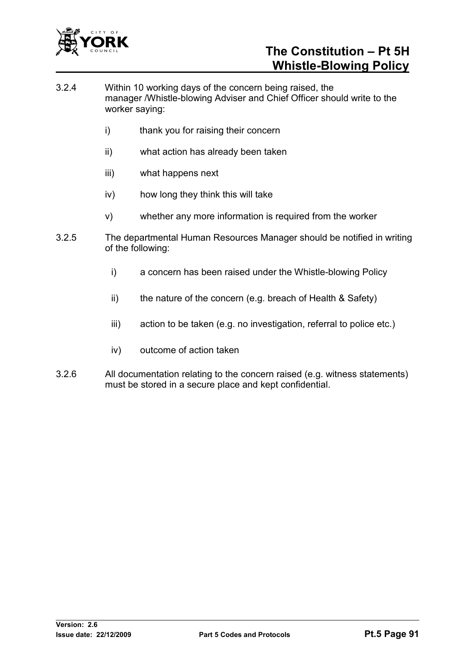

# **The Constitution – Pt 5H Whistle-Blowing Policy**

- 3.2.4 Within 10 working days of the concern being raised, the manager /Whistle-blowing Adviser and Chief Officer should write to the worker saying:
	- i) thank you for raising their concern
	- ii) what action has already been taken
	- iii) what happens next
	- iv) how long they think this will take
	- v) whether any more information is required from the worker
- 3.2.5 The departmental Human Resources Manager should be notified in writing of the following:
	- i) a concern has been raised under the Whistle-blowing Policy
	- ii) the nature of the concern (e.g. breach of Health & Safety)
	- iii) action to be taken (e.g. no investigation, referral to police etc.)
	- iv) outcome of action taken
- 3.2.6 All documentation relating to the concern raised (e.g. witness statements) must be stored in a secure place and kept confidential.